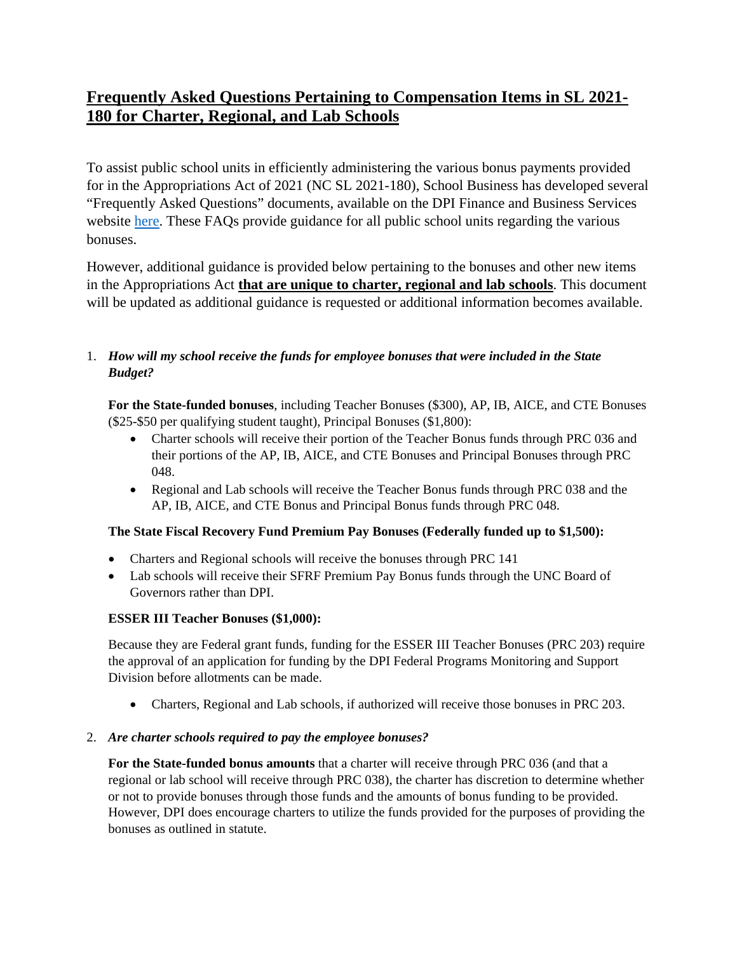# **Frequently Asked Questions Pertaining to Compensation Items in SL 2021- 180 for Charter, Regional, and Lab Schools**

To assist public school units in efficiently administering the various bonus payments provided for in the Appropriations Act of 2021 (NC SL 2021-180), School Business has developed several "Frequently Asked Questions" documents, available on the DPI Finance and Business Services website [here.](https://www.dpi.nc.gov/districts-schools/district-operations/financial-and-business-services) These FAQs provide guidance for all public school units regarding the various bonuses.

However, additional guidance is provided below pertaining to the bonuses and other new items in the Appropriations Act **that are unique to charter, regional and lab schools**. This document will be updated as additional guidance is requested or additional information becomes available.

# 1. *How will my school receive the funds for employee bonuses that were included in the State Budget?*

**For the State-funded bonuses**, including Teacher Bonuses (\$300), AP, IB, AICE, and CTE Bonuses (\$25-\$50 per qualifying student taught), Principal Bonuses (\$1,800):

- Charter schools will receive their portion of the Teacher Bonus funds through PRC 036 and their portions of the AP, IB, AICE, and CTE Bonuses and Principal Bonuses through PRC 048.
- Regional and Lab schools will receive the Teacher Bonus funds through PRC 038 and the AP, IB, AICE, and CTE Bonus and Principal Bonus funds through PRC 048.

## **The State Fiscal Recovery Fund Premium Pay Bonuses (Federally funded up to \$1,500):**

- Charters and Regional schools will receive the bonuses through PRC 141
- Lab schools will receive their SFRF Premium Pay Bonus funds through the UNC Board of Governors rather than DPI.

## **ESSER III Teacher Bonuses (\$1,000):**

Because they are Federal grant funds, funding for the ESSER III Teacher Bonuses (PRC 203) require the approval of an application for funding by the DPI Federal Programs Monitoring and Support Division before allotments can be made.

• Charters, Regional and Lab schools, if authorized will receive those bonuses in PRC 203.

## 2. *Are charter schools required to pay the employee bonuses?*

**For the State-funded bonus amounts** that a charter will receive through PRC 036 (and that a regional or lab school will receive through PRC 038), the charter has discretion to determine whether or not to provide bonuses through those funds and the amounts of bonus funding to be provided. However, DPI does encourage charters to utilize the funds provided for the purposes of providing the bonuses as outlined in statute.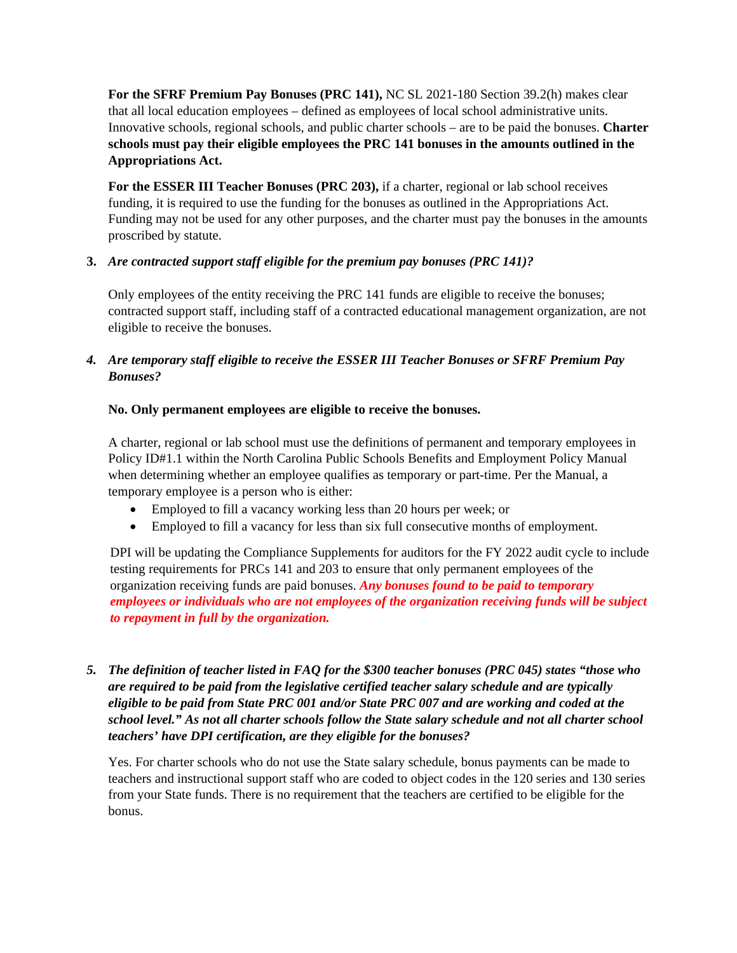**For the SFRF Premium Pay Bonuses (PRC 141),** NC SL 2021-180 Section 39.2(h) makes clear that all local education employees – defined as employees of local school administrative units. Innovative schools, regional schools, and public charter schools – are to be paid the bonuses. **Charter schools must pay their eligible employees the PRC 141 bonuses in the amounts outlined in the Appropriations Act.**

For the ESSER III Teacher Bonuses (PRC 203), if a charter, regional or lab school receives funding, it is required to use the funding for the bonuses as outlined in the Appropriations Act. Funding may not be used for any other purposes, and the charter must pay the bonuses in the amounts proscribed by statute.

## **3.** *Are contracted support staff eligible for the premium pay bonuses (PRC 141)?*

Only employees of the entity receiving the PRC 141 funds are eligible to receive the bonuses; contracted support staff, including staff of a contracted educational management organization, are not eligible to receive the bonuses.

## *4. Are temporary staff eligible to receive the ESSER III Teacher Bonuses or SFRF Premium Pay Bonuses?*

## **No. Only permanent employees are eligible to receive the bonuses.**

A charter, regional or lab school must use the definitions of permanent and temporary employees in Policy ID#1.1 within the North Carolina Public Schools Benefits and Employment Policy Manual when determining whether an employee qualifies as temporary or part-time. Per the Manual, a temporary employee is a person who is either:

- Employed to fill a vacancy working less than 20 hours per week; or
- Employed to fill a vacancy for less than six full consecutive months of employment.

DPI will be updating the Compliance Supplements for auditors for the FY 2022 audit cycle to include testing requirements for PRCs 141 and 203 to ensure that only permanent employees of the organization receiving funds are paid bonuses. *Any bonuses found to be paid to temporary employees or individuals who are not employees of the organization receiving funds will be subject to repayment in full by the organization.*

*5. The definition of teacher listed in FAQ for the \$300 teacher bonuses (PRC 045) states "those who are required to be paid from the legislative certified teacher salary schedule and are typically eligible to be paid from State PRC 001 and/or State PRC 007 and are working and coded at the school level." As not all charter schools follow the State salary schedule and not all charter school teachers' have DPI certification, are they eligible for the bonuses?*

Yes. For charter schools who do not use the State salary schedule, bonus payments can be made to teachers and instructional support staff who are coded to object codes in the 120 series and 130 series from your State funds. There is no requirement that the teachers are certified to be eligible for the bonus.